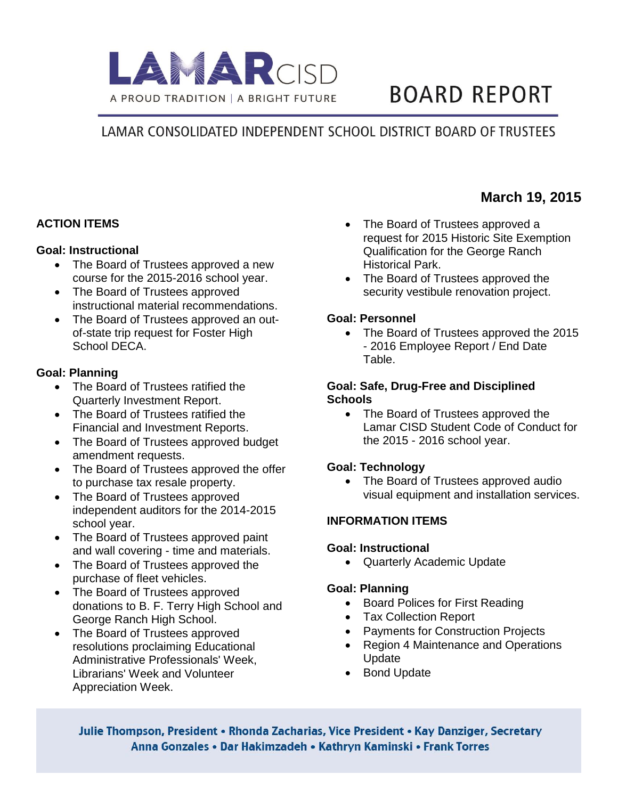

# **BOARD REPORT**

# LAMAR CONSOLIDATED INDEPENDENT SCHOOL DISTRICT BOARD OF TRUSTEES

# **ACTION ITEMS**

#### **Goal: Instructional**

- The Board of Trustees approved a new course for the 2015-2016 school year.
- The Board of Trustees approved instructional material recommendations.
- The Board of Trustees approved an outof-state trip request for Foster High School DECA.

## **Goal: Planning**

- The Board of Trustees ratified the Quarterly Investment Report.
- The Board of Trustees ratified the Financial and Investment Reports.
- The Board of Trustees approved budget amendment requests.
- The Board of Trustees approved the offer to purchase tax resale property.
- The Board of Trustees approved independent auditors for the 2014-2015 school year.
- The Board of Trustees approved paint and wall covering - time and materials.
- The Board of Trustees approved the purchase of fleet vehicles.
- The Board of Trustees approved donations to B. F. Terry High School and George Ranch High School.
- The Board of Trustees approved resolutions proclaiming Educational Administrative Professionals' Week, Librarians' Week and Volunteer Appreciation Week.
- The Board of Trustees approved a request for 2015 Historic Site Exemption Qualification for the George Ranch Historical Park.
- The Board of Trustees approved the security vestibule renovation project.

## **Goal: Personnel**

• The Board of Trustees approved the 2015 - 2016 Employee Report / End Date Table.

#### **Goal: Safe, Drug-Free and Disciplined Schools**

• The Board of Trustees approved the Lamar CISD Student Code of Conduct for the 2015 - 2016 school year.

# **Goal: Technology**

• The Board of Trustees approved audio visual equipment and installation services.

# **INFORMATION ITEMS**

# **Goal: Instructional**

• Quarterly Academic Update

#### **Goal: Planning**

- Board Polices for First Reading
- Tax Collection Report
- Payments for Construction Projects
- Region 4 Maintenance and Operations Update
- Bond Update

Julie Thompson, President • Rhonda Zacharias, Vice President • Kay Danziger, Secretary Anna Gonzales • Dar Hakimzadeh • Kathryn Kaminski • Frank Torres

# **March 19, 2015**